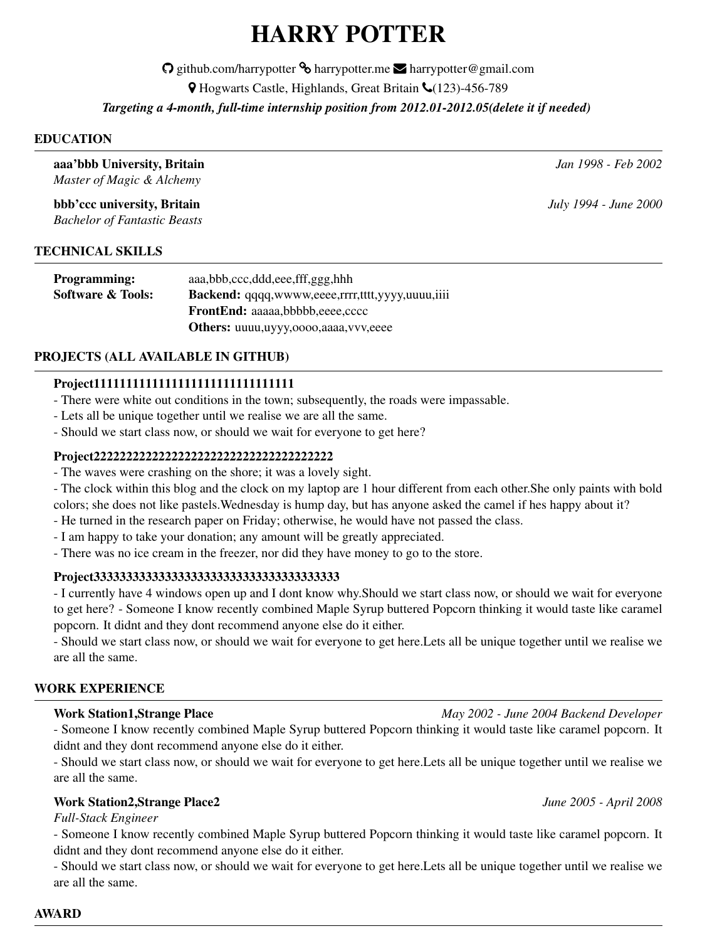# HARRY POTTER

O github.com/harrypotter <sup>®</sup> harrypotter.me **E** harrypotter@gmail.com

 $\blacklozenge$  Hogwarts Castle, Highlands, Great Britain ↓ (123)-456-789

*Targeting a 4-month, full-time internship position from 2012.01-2012.05(delete it if needed)*

#### EDUCATION

aaa'bbb University, Britain *Jan 1998 - Feb 2002*

*Master of Magic & Alchemy* bbb'ccc university, Britain *July 1994 - June 2000*

*Bachelor of Fantastic Beasts*

# TECHNICAL SKILLS

| <b>Programming:</b>          | aaa,bbb,ccc,ddd,eee,fff,ggg,hhh                         |
|------------------------------|---------------------------------------------------------|
| <b>Software &amp; Tools:</b> | <b>Backend:</b> qqqq,wwww,eeee,rrrr,tttt,yyyy,uuuu,iiii |
|                              | <b>FrontEnd:</b> aaaaa.bbbbb.eeee.cccc                  |
|                              | <b>Others:</b> uuuu,uyyy,oooo,aaaa,vvv,eeee             |

## PROJECTS (ALL AVAILABLE IN GITHUB)

# Project1111111111111111111111111111111

- There were white out conditions in the town; subsequently, the roads were impassable.

- Lets all be unique together until we realise we are all the same.
- Should we start class now, or should we wait for everyone to get here?

#### Project2222222222222222222222222222222222222

- The waves were crashing on the shore; it was a lovely sight.
- The clock within this blog and the clock on my laptop are 1 hour different from each other.She only paints with bold colors; she does not like pastels.Wednesday is hump day, but has anyone asked the camel if hes happy about it?
- He turned in the research paper on Friday; otherwise, he would have not passed the class.
- I am happy to take your donation; any amount will be greatly appreciated.
- There was no ice cream in the freezer, nor did they have money to go to the store.

## Project33333333333333333333333333333333333333

- I currently have 4 windows open up and I dont know why.Should we start class now, or should we wait for everyone to get here? - Someone I know recently combined Maple Syrup buttered Popcorn thinking it would taste like caramel popcorn. It didnt and they dont recommend anyone else do it either.

- Should we start class now, or should we wait for everyone to get here.Lets all be unique together until we realise we are all the same.

## WORK EXPERIENCE

#### Work Station1,Strange Place *May 2002 - June 2004 Backend Developer*

- Someone I know recently combined Maple Syrup buttered Popcorn thinking it would taste like caramel popcorn. It didnt and they dont recommend anyone else do it either.

- Should we start class now, or should we wait for everyone to get here.Lets all be unique together until we realise we are all the same.

## Work Station2,Strange Place2 *June 2005 - April 2008*

*Full-Stack Engineer*

- Someone I know recently combined Maple Syrup buttered Popcorn thinking it would taste like caramel popcorn. It didnt and they dont recommend anyone else do it either.

- Should we start class now, or should we wait for everyone to get here.Lets all be unique together until we realise we are all the same.